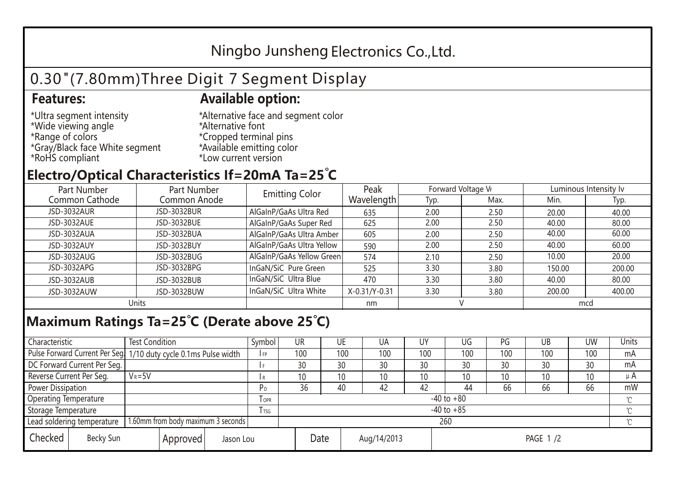## Ningbo Junsheng Electronics Co.,Ltd.

# 0.30"(7.80mm)Three Digit 7 Segment Display

#### **Features: Available option:**

- \*Ultra segment intensity \*Wide viewing angle \*Range of colors \*Gray/Black face White segment \*RoHS compliant
- \*Alternative face and segment color \*Alternative font \*Cropped terminal pins \*Available emitting color \*Low current version

### **Electro/Optical Characteristics If=20mA Ta=25 C**

| Part Number<br>Part Number |              | <b>Emitting Color</b>     | Peak          | Forward Voltage VF |      | Luminous Intensity lv |        |  |
|----------------------------|--------------|---------------------------|---------------|--------------------|------|-----------------------|--------|--|
| Common Cathode             | Common Anode |                           | Wavelength    | Typ.               | Max. | Min.                  | Typ.   |  |
| <b>JSD-3032AUR</b>         | JSD-3032BUR  | AlGaInP/GaAs Ultra Red    | 635           | 2.00               | 2.50 | 20.00                 | 40.00  |  |
| JSD-3032AUE                | JSD-3032BUE  | AlGaInP/GaAs Super Red    | 625           | 2.00               | 2.50 | 40.00                 | 80.00  |  |
| JSD-3032AUA                | JSD-3032BUA  | AlGaInP/GaAs Ultra Amber  | 605           | 2.00               | 2.50 | 40.00                 | 60.00  |  |
| JSD-3032AUY                | JSD-3032BUY  | AlGaInP/GaAs Ultra Yellow | 590           | 2.00               | 2.50 | 40.00                 | 60.00  |  |
| JSD-3032AUG                | JSD-3032BUG  | AlGaInP/GaAs Yellow Green | 574           | 2.10               | 2.50 | 10.00                 | 20.00  |  |
| JSD-3032APG                | JSD-3032BPG  | InGaN/SiC Pure Green      | 525           | 3.30               | 3.80 | 150.00                | 200.00 |  |
| JSD-3032AUB                | JSD-3032BUB  | InGaN/SiC Ultra Blue      | 470           | 3.30               | 3.80 | 40.00                 | 80.00  |  |
| JSD-3032AUW                | JSD-3032BUW  | InGaN/SiC Ultra White     | X-0.31/Y-0.31 | 3.30               | 3.80 | 200.00                | 400.00 |  |
| Units                      |              |                           | nm            |                    |      | mcd                   |        |  |

### **Maximum Ratings Ta=25°C (Derate above 25°C)**

| Characteristic               |  | <b>Test Condition</b>                                            |                         |  | Symbol         | UR              |     | UE          | UA              | UY              | UG  | PG  | UB  | <b>UW</b> | Units   |
|------------------------------|--|------------------------------------------------------------------|-------------------------|--|----------------|-----------------|-----|-------------|-----------------|-----------------|-----|-----|-----|-----------|---------|
|                              |  | Pulse Forward Current Per Seg. 1/10 duty cycle 0.1ms Pulse width |                         |  | IFP            |                 | 100 | 100         | 100             | 100             | 100 | 100 | 100 | 100       | mA      |
| DC Forward Current Per Seg.  |  |                                                                  |                         |  | I F            |                 | 30  | 30          | 30              | 30              | 30  | 30  | 30  | 30        | mA      |
| Reverse Current Per Seg.     |  | $V_R = 5V$                                                       |                         |  | l R            |                 | 10  | 10          | 10 <sup>°</sup> | 10              | 10  | 10  | 10  | 10        | $\mu$ A |
| <b>Power Dissipation</b>     |  |                                                                  |                         |  |                |                 | 36  | 40          | 42              | 42              | 44  | 66  | 66  | 66        | mW      |
| <b>Operating Temperature</b> |  |                                                                  | <b>TOPR</b>             |  | $-40$ to $+80$ |                 |     |             |                 |                 |     |     |     |           |         |
| Storage Temperature          |  |                                                                  | <b>T</b> <sub>TSG</sub> |  | $-40$ to $+85$ |                 |     |             |                 |                 |     |     |     |           |         |
| Lead soldering temperature   |  | 1.60mm from body maximum 3 seconds                               |                         |  |                | 260<br>$\gamma$ |     |             |                 |                 |     |     |     |           |         |
| Checked<br>Becky Sun         |  | Approved                                                         | Jason Lou               |  |                | Date            |     | Aug/14/2013 |                 | <b>PAGE 1/2</b> |     |     |     |           |         |